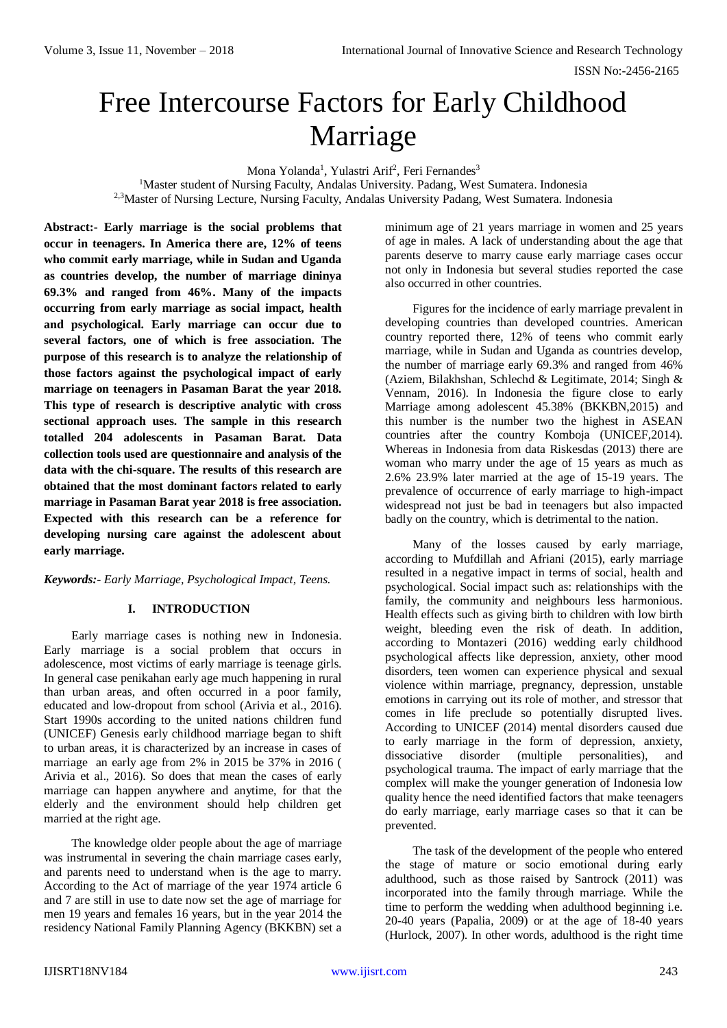# Free Intercourse Factors for Early Childhood Marriage

Mona Yolanda<sup>1</sup>, Yulastri Arif<sup>2</sup>, Feri Fernandes<sup>3</sup> <sup>1</sup>Master student of Nursing Faculty, Andalas University. Padang, West Sumatera. Indonesia <sup>2,3</sup>Master of Nursing Lecture, Nursing Faculty, Andalas University Padang, West Sumatera. Indonesia

**Abstract:- Early marriage is the social problems that occur in teenagers. In America there are, 12% of teens who commit early marriage, while in Sudan and Uganda as countries develop, the number of marriage dininya 69.3% and ranged from 46%. Many of the impacts occurring from early marriage as social impact, health and psychological. Early marriage can occur due to several factors, one of which is free association. The purpose of this research is to analyze the relationship of those factors against the psychological impact of early marriage on teenagers in Pasaman Barat the year 2018. This type of research is descriptive analytic with cross sectional approach uses. The sample in this research totalled 204 adolescents in Pasaman Barat. Data collection tools used are questionnaire and analysis of the data with the chi-square. The results of this research are obtained that the most dominant factors related to early marriage in Pasaman Barat year 2018 is free association. Expected with this research can be a reference for developing nursing care against the adolescent about early marriage.** 

## *Keywords:- Early Marriage, Psychological Impact, Teens.*

## **I. INTRODUCTION**

Early marriage cases is nothing new in Indonesia. Early marriage is a social problem that occurs in adolescence, most victims of early marriage is teenage girls. In general case penikahan early age much happening in rural than urban areas, and often occurred in a poor family, educated and low-dropout from school (Arivia et al., 2016). Start 1990s according to the united nations children fund (UNICEF) Genesis early childhood marriage began to shift to urban areas, it is characterized by an increase in cases of marriage an early age from 2% in 2015 be 37% in 2016 ( Arivia et al., 2016). So does that mean the cases of early marriage can happen anywhere and anytime, for that the elderly and the environment should help children get married at the right age.

The knowledge older people about the age of marriage was instrumental in severing the chain marriage cases early, and parents need to understand when is the age to marry. According to the Act of marriage of the year 1974 article 6 and 7 are still in use to date now set the age of marriage for men 19 years and females 16 years, but in the year 2014 the residency National Family Planning Agency (BKKBN) set a minimum age of 21 years marriage in women and 25 years of age in males. A lack of understanding about the age that parents deserve to marry cause early marriage cases occur not only in Indonesia but several studies reported the case also occurred in other countries.

Figures for the incidence of early marriage prevalent in developing countries than developed countries. American country reported there, 12% of teens who commit early marriage, while in Sudan and Uganda as countries develop, the number of marriage early 69.3% and ranged from 46% (Aziem, Bilakhshan, Schlechd & Legitimate, 2014; Singh & Vennam, 2016). In Indonesia the figure close to early Marriage among adolescent 45.38% (BKKBN,2015) and this number is the number two the highest in ASEAN countries after the country Komboja (UNICEF,2014). Whereas in Indonesia from data Riskesdas (2013) there are woman who marry under the age of 15 years as much as 2.6% 23.9% later married at the age of 15-19 years. The prevalence of occurrence of early marriage to high-impact widespread not just be bad in teenagers but also impacted badly on the country, which is detrimental to the nation.

Many of the losses caused by early marriage, according to Mufdillah and Afriani (2015), early marriage resulted in a negative impact in terms of social, health and psychological. Social impact such as: relationships with the family, the community and neighbours less harmonious. Health effects such as giving birth to children with low birth weight, bleeding even the risk of death. In addition, according to Montazeri (2016) wedding early childhood psychological affects like depression, anxiety, other mood disorders, teen women can experience physical and sexual violence within marriage, pregnancy, depression, unstable emotions in carrying out its role of mother, and stressor that comes in life preclude so potentially disrupted lives. According to UNICEF (2014) mental disorders caused due to early marriage in the form of depression, anxiety, dissociative disorder (multiple personalities), and psychological trauma. The impact of early marriage that the complex will make the younger generation of Indonesia low quality hence the need identified factors that make teenagers do early marriage, early marriage cases so that it can be prevented.

The task of the development of the people who entered the stage of mature or socio emotional during early adulthood, such as those raised by Santrock (2011) was incorporated into the family through marriage. While the time to perform the wedding when adulthood beginning i.e. 20-40 years (Papalia, 2009) or at the age of 18-40 years (Hurlock, 2007). In other words, adulthood is the right time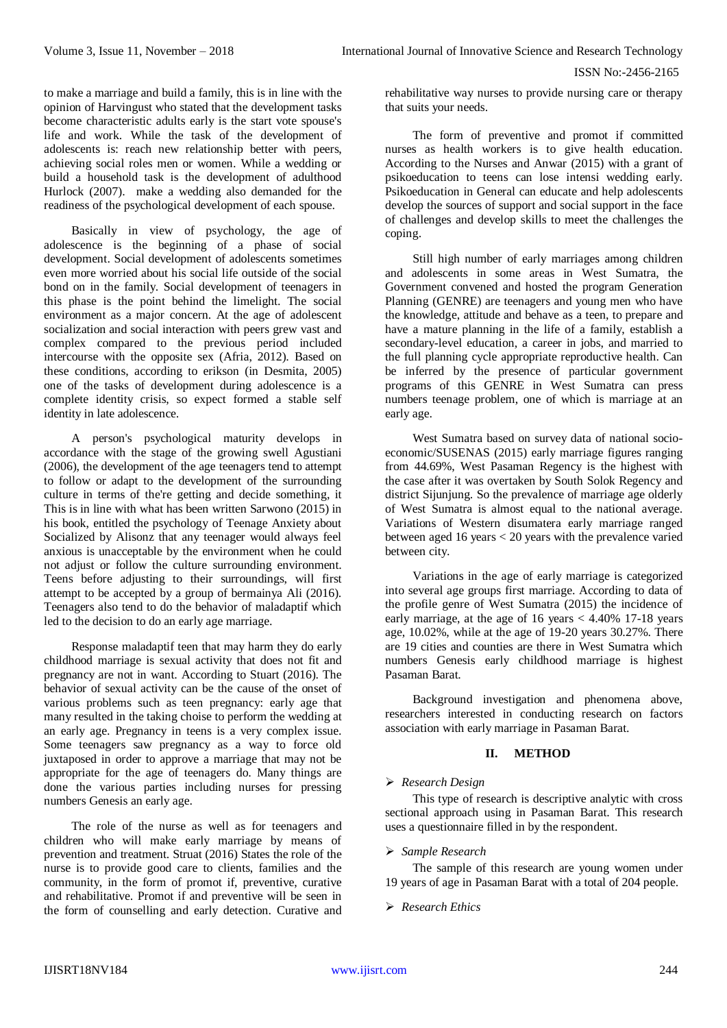to make a marriage and build a family, this is in line with the opinion of Harvingust who stated that the development tasks become characteristic adults early is the start vote spouse's life and work. While the task of the development of adolescents is: reach new relationship better with peers, achieving social roles men or women. While a wedding or build a household task is the development of adulthood Hurlock (2007). make a wedding also demanded for the readiness of the psychological development of each spouse.

Basically in view of psychology, the age of adolescence is the beginning of a phase of social development. Social development of adolescents sometimes even more worried about his social life outside of the social bond on in the family. Social development of teenagers in this phase is the point behind the limelight. The social environment as a major concern. At the age of adolescent socialization and social interaction with peers grew vast and complex compared to the previous period included intercourse with the opposite sex (Afria, 2012). Based on these conditions, according to erikson (in Desmita, 2005) one of the tasks of development during adolescence is a complete identity crisis, so expect formed a stable self identity in late adolescence.

A person's psychological maturity develops in accordance with the stage of the growing swell Agustiani (2006), the development of the age teenagers tend to attempt to follow or adapt to the development of the surrounding culture in terms of the're getting and decide something, it This is in line with what has been written Sarwono (2015) in his book, entitled the psychology of Teenage Anxiety about Socialized by Alisonz that any teenager would always feel anxious is unacceptable by the environment when he could not adjust or follow the culture surrounding environment. Teens before adjusting to their surroundings, will first attempt to be accepted by a group of bermainya Ali (2016). Teenagers also tend to do the behavior of maladaptif which led to the decision to do an early age marriage.

Response maladaptif teen that may harm they do early childhood marriage is sexual activity that does not fit and pregnancy are not in want. According to Stuart (2016). The behavior of sexual activity can be the cause of the onset of various problems such as teen pregnancy: early age that many resulted in the taking choise to perform the wedding at an early age. Pregnancy in teens is a very complex issue. Some teenagers saw pregnancy as a way to force old juxtaposed in order to approve a marriage that may not be appropriate for the age of teenagers do. Many things are done the various parties including nurses for pressing numbers Genesis an early age.

The role of the nurse as well as for teenagers and children who will make early marriage by means of prevention and treatment. Struat (2016) States the role of the nurse is to provide good care to clients, families and the community, in the form of promot if, preventive, curative and rehabilitative. Promot if and preventive will be seen in the form of counselling and early detection. Curative and rehabilitative way nurses to provide nursing care or therapy that suits your needs.

The form of preventive and promot if committed nurses as health workers is to give health education. According to the Nurses and Anwar (2015) with a grant of psikoeducation to teens can lose intensi wedding early. Psikoeducation in General can educate and help adolescents develop the sources of support and social support in the face of challenges and develop skills to meet the challenges the coping.

Still high number of early marriages among children and adolescents in some areas in West Sumatra, the Government convened and hosted the program Generation Planning (GENRE) are teenagers and young men who have the knowledge, attitude and behave as a teen, to prepare and have a mature planning in the life of a family, establish a secondary-level education, a career in jobs, and married to the full planning cycle appropriate reproductive health. Can be inferred by the presence of particular government programs of this GENRE in West Sumatra can press numbers teenage problem, one of which is marriage at an early age.

West Sumatra based on survey data of national socioeconomic/SUSENAS (2015) early marriage figures ranging from 44.69%, West Pasaman Regency is the highest with the case after it was overtaken by South Solok Regency and district Sijunjung. So the prevalence of marriage age olderly of West Sumatra is almost equal to the national average. Variations of Western disumatera early marriage ranged between aged 16 years < 20 years with the prevalence varied between city.

Variations in the age of early marriage is categorized into several age groups first marriage. According to data of the profile genre of West Sumatra (2015) the incidence of early marriage, at the age of 16 years < 4.40% 17-18 years age, 10.02%, while at the age of 19-20 years 30.27%. There are 19 cities and counties are there in West Sumatra which numbers Genesis early childhood marriage is highest Pasaman Barat.

Background investigation and phenomena above, researchers interested in conducting research on factors association with early marriage in Pasaman Barat.

#### **II. METHOD**

## *Research Design*

This type of research is descriptive analytic with cross sectional approach using in Pasaman Barat. This research uses a questionnaire filled in by the respondent.

## *Sample Research*

The sample of this research are young women under 19 years of age in Pasaman Barat with a total of 204 people.

*Research Ethics*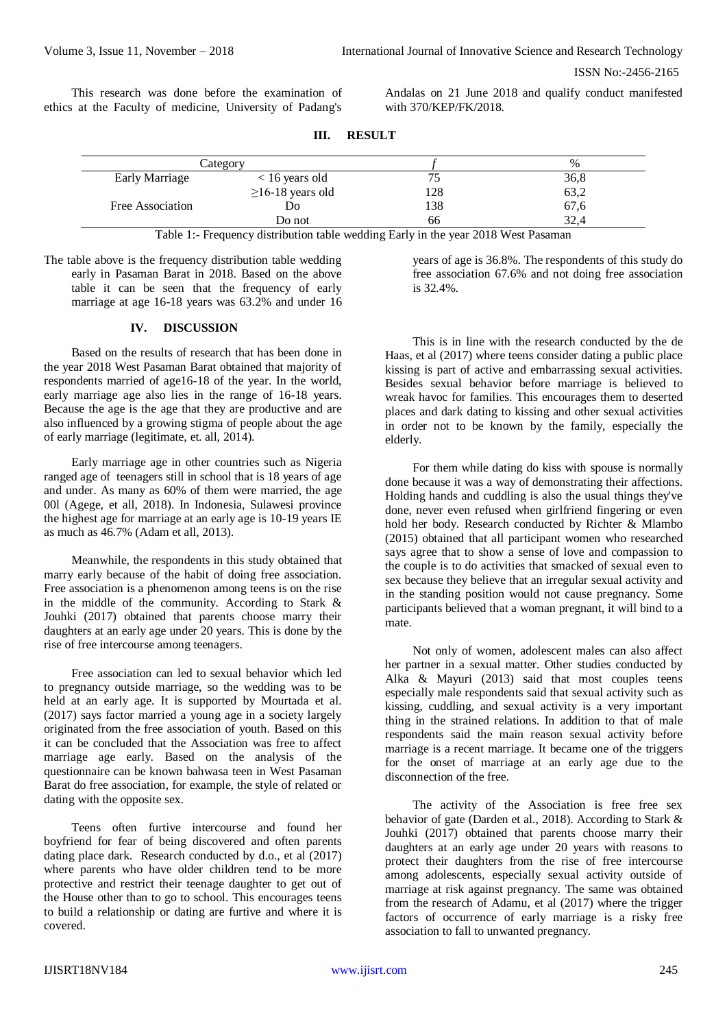ISSN No:-2456-2165

This research was done before the examination of ethics at the Faculty of medicine, University of Padang's

Andalas on 21 June 2018 and qualify conduct manifested with 370/KEP/FK/2018.

| Category              |                        |     | $\%$ |
|-----------------------|------------------------|-----|------|
| <b>Early Marriage</b> | $< 16$ years old       |     | 36,8 |
|                       | $\geq$ 16-18 years old | 128 | 63,2 |
| Free Association      | Do                     | 138 | 67,6 |
|                       | Do not                 | 66  | 32.4 |

**III. RESULT**

Table 1:- Frequency distribution table wedding Early in the year 2018 West Pasaman

The table above is the frequency distribution table wedding early in Pasaman Barat in 2018. Based on the above table it can be seen that the frequency of early marriage at age 16-18 years was 63.2% and under 16

## **IV. DISCUSSION**

Based on the results of research that has been done in the year 2018 West Pasaman Barat obtained that majority of respondents married of age16-18 of the year. In the world, early marriage age also lies in the range of 16-18 years. Because the age is the age that they are productive and are also influenced by a growing stigma of people about the age of early marriage (legitimate, et. all, 2014).

Early marriage age in other countries such as Nigeria ranged age of teenagers still in school that is 18 years of age and under. As many as 60% of them were married, the age 00l (Agege, et all, 2018). In Indonesia, Sulawesi province the highest age for marriage at an early age is 10-19 years IE as much as 46.7% (Adam et all, 2013).

Meanwhile, the respondents in this study obtained that marry early because of the habit of doing free association. Free association is a phenomenon among teens is on the rise in the middle of the community. According to Stark & Jouhki (2017) obtained that parents choose marry their daughters at an early age under 20 years. This is done by the rise of free intercourse among teenagers.

Free association can led to sexual behavior which led to pregnancy outside marriage, so the wedding was to be held at an early age. It is supported by Mourtada et al. (2017) says factor married a young age in a society largely originated from the free association of youth. Based on this it can be concluded that the Association was free to affect marriage age early. Based on the analysis of the questionnaire can be known bahwasa teen in West Pasaman Barat do free association, for example, the style of related or dating with the opposite sex.

Teens often furtive intercourse and found her boyfriend for fear of being discovered and often parents dating place dark. Research conducted by d.o., et al (2017) where parents who have older children tend to be more protective and restrict their teenage daughter to get out of the House other than to go to school. This encourages teens to build a relationship or dating are furtive and where it is covered.

years of age is 36.8%. The respondents of this study do free association 67.6% and not doing free association is 32.4%.

This is in line with the research conducted by the de Haas, et al (2017) where teens consider dating a public place kissing is part of active and embarrassing sexual activities. Besides sexual behavior before marriage is believed to wreak havoc for families. This encourages them to deserted places and dark dating to kissing and other sexual activities in order not to be known by the family, especially the elderly.

For them while dating do kiss with spouse is normally done because it was a way of demonstrating their affections. Holding hands and cuddling is also the usual things they've done, never even refused when girlfriend fingering or even hold her body. Research conducted by Richter & Mlambo (2015) obtained that all participant women who researched says agree that to show a sense of love and compassion to the couple is to do activities that smacked of sexual even to sex because they believe that an irregular sexual activity and in the standing position would not cause pregnancy. Some participants believed that a woman pregnant, it will bind to a mate.

Not only of women, adolescent males can also affect her partner in a sexual matter. Other studies conducted by Alka & Mayuri (2013) said that most couples teens especially male respondents said that sexual activity such as kissing, cuddling, and sexual activity is a very important thing in the strained relations. In addition to that of male respondents said the main reason sexual activity before marriage is a recent marriage. It became one of the triggers for the onset of marriage at an early age due to the disconnection of the free.

The activity of the Association is free free sex behavior of gate (Darden et al., 2018). According to Stark & Jouhki (2017) obtained that parents choose marry their daughters at an early age under 20 years with reasons to protect their daughters from the rise of free intercourse among adolescents, especially sexual activity outside of marriage at risk against pregnancy. The same was obtained from the research of Adamu, et al (2017) where the trigger factors of occurrence of early marriage is a risky free association to fall to unwanted pregnancy.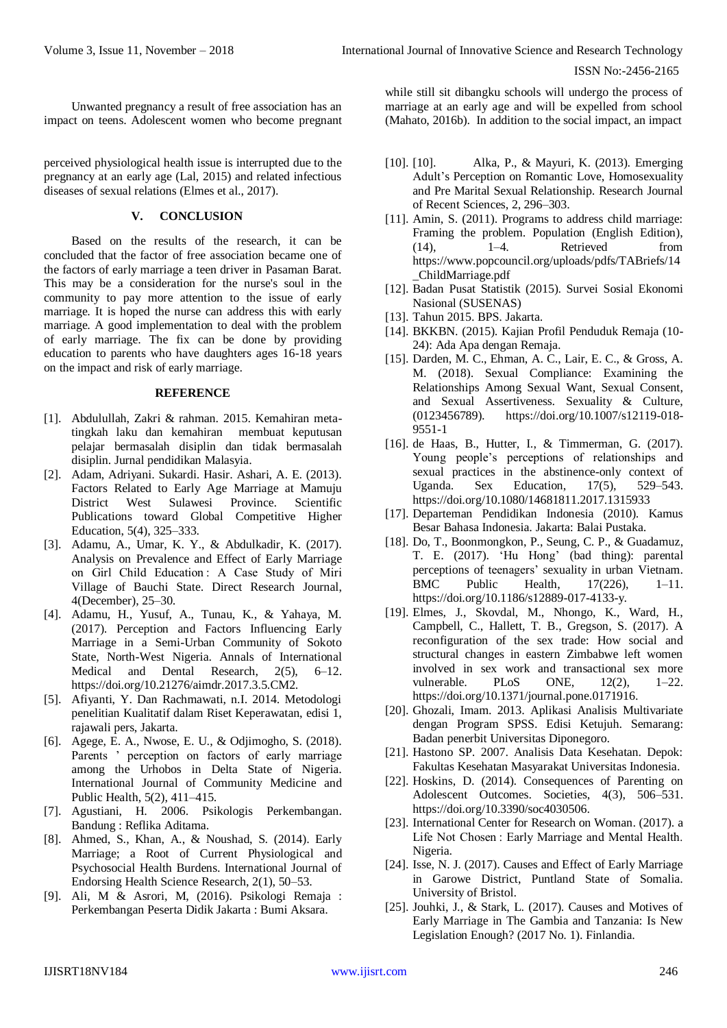Unwanted pregnancy a result of free association has an impact on teens. Adolescent women who become pregnant

perceived physiological health issue is interrupted due to the pregnancy at an early age (Lal, 2015) and related infectious diseases of sexual relations (Elmes et al., 2017).

## **V. CONCLUSION**

Based on the results of the research, it can be concluded that the factor of free association became one of the factors of early marriage a teen driver in Pasaman Barat. This may be a consideration for the nurse's soul in the community to pay more attention to the issue of early marriage. It is hoped the nurse can address this with early marriage. A good implementation to deal with the problem of early marriage. The fix can be done by providing education to parents who have daughters ages 16-18 years on the impact and risk of early marriage.

#### **REFERENCE**

- [1]. Abdulullah, Zakri & rahman. 2015. Kemahiran metatingkah laku dan kemahiran membuat keputusan pelajar bermasalah disiplin dan tidak bermasalah disiplin. Jurnal pendidikan Malasyia.
- [2]. Adam, Adriyani. Sukardi. Hasir. Ashari, A. E. (2013). Factors Related to Early Age Marriage at Mamuju District West Sulawesi Province. Scientific Publications toward Global Competitive Higher Education, 5(4), 325–333.
- [3]. Adamu, A., Umar, K. Y., & Abdulkadir, K. (2017). Analysis on Prevalence and Effect of Early Marriage on Girl Child Education : A Case Study of Miri Village of Bauchi State. Direct Research Journal, 4(December), 25–30.
- [4]. Adamu, H., Yusuf, A., Tunau, K., & Yahaya, M. (2017). Perception and Factors Influencing Early Marriage in a Semi-Urban Community of Sokoto State, North-West Nigeria. Annals of International Medical and Dental Research, 2(5), 6–12. https://doi.org/10.21276/aimdr.2017.3.5.CM2.
- [5]. Afiyanti, Y. Dan Rachmawati, n.I. 2014. Metodologi penelitian Kualitatif dalam Riset Keperawatan, edisi 1, rajawali pers, Jakarta.
- [6]. Agege, E. A., Nwose, E. U., & Odjimogho, S. (2018). Parents ' perception on factors of early marriage among the Urhobos in Delta State of Nigeria. International Journal of Community Medicine and Public Health, 5(2), 411–415.
- [7]. Agustiani, H. 2006. Psikologis Perkembangan. Bandung : Reflika Aditama.
- [8]. Ahmed, S., Khan, A., & Noushad, S. (2014). Early Marriage; a Root of Current Physiological and Psychosocial Health Burdens. International Journal of Endorsing Health Science Research, 2(1), 50–53.
- [9]. Ali, M & Asrori, M, (2016). Psikologi Remaja : Perkembangan Peserta Didik Jakarta : Bumi Aksara.

while still sit dibangku schools will undergo the process of marriage at an early age and will be expelled from school (Mahato, 2016b). In addition to the social impact, an impact

- [10]. [10]. Alka, P., & Mayuri, K. (2013). Emerging Adult's Perception on Romantic Love, Homosexuality and Pre Marital Sexual Relationship. Research Journal of Recent Sciences, 2, 296–303.
- [11]. Amin, S. (2011). Programs to address child marriage: Framing the problem. Population (English Edition),  $(14)$ ,  $1-4$ . Retrieved from https://www.popcouncil.org/uploads/pdfs/TABriefs/14 \_ChildMarriage.pdf
- [12]. Badan Pusat Statistik (2015). Survei Sosial Ekonomi Nasional (SUSENAS)
- [13]. Tahun 2015. BPS. Jakarta.
- [14]. BKKBN. (2015). Kajian Profil Penduduk Remaja (10- 24): Ada Apa dengan Remaja.
- [15]. Darden, M. C., Ehman, A. C., Lair, E. C., & Gross, A. M. (2018). Sexual Compliance: Examining the Relationships Among Sexual Want, Sexual Consent, and Sexual Assertiveness. Sexuality & Culture, (0123456789). https://doi.org/10.1007/s12119-018- 9551-1
- [16]. de Haas, B., Hutter, I., & Timmerman, G. (2017). Young people's perceptions of relationships and sexual practices in the abstinence-only context of Uganda. Sex Education, 17(5), 529–543. https://doi.org/10.1080/14681811.2017.1315933
- [17]. Departeman Pendidikan Indonesia (2010). Kamus Besar Bahasa Indonesia. Jakarta: Balai Pustaka.
- [18]. Do, T., Boonmongkon, P., Seung, C. P., & Guadamuz, T. E. (2017). 'Hu Hong' (bad thing): parental perceptions of teenagers' sexuality in urban Vietnam. BMC Public Health, 17(226), 1–11. https://doi.org/10.1186/s12889-017-4133-y.
- [19]. Elmes, J., Skovdal, M., Nhongo, K., Ward, H., Campbell, C., Hallett, T. B., Gregson, S. (2017). A reconfiguration of the sex trade: How social and structural changes in eastern Zimbabwe left women involved in sex work and transactional sex more vulnerable. PLoS ONE, 12(2), 1–22. https://doi.org/10.1371/journal.pone.0171916.
- [20]. Ghozali, Imam. 2013. Aplikasi Analisis Multivariate dengan Program SPSS. Edisi Ketujuh. Semarang: Badan penerbit Universitas Diponegoro.
- [21]. Hastono SP. 2007. Analisis Data Kesehatan. Depok: Fakultas Kesehatan Masyarakat Universitas Indonesia.
- [22]. Hoskins, D. (2014). Consequences of Parenting on Adolescent Outcomes. Societies, 4(3), 506–531. https://doi.org/10.3390/soc4030506.
- [23]. International Center for Research on Woman. (2017). a Life Not Chosen : Early Marriage and Mental Health. Nigeria.
- [24]. Isse, N. J. (2017). Causes and Effect of Early Marriage in Garowe District, Puntland State of Somalia. University of Bristol.
- [25]. Jouhki, J., & Stark, L. (2017). Causes and Motives of Early Marriage in The Gambia and Tanzania: Is New Legislation Enough? (2017 No. 1). Finlandia.